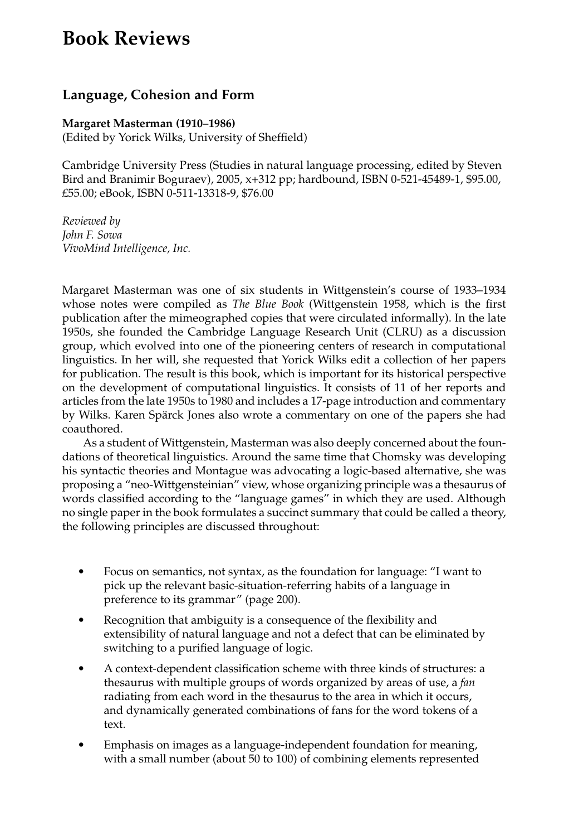## **Book Reviews**

## **Language, Cohesion and Form**

## **Margaret Masterman (1910–1986)**

(Edited by Yorick Wilks, University of Sheffield)

Cambridge University Press (Studies in natural language processing, edited by Steven Bird and Branimir Boguraev), 2005, x+312 pp; hardbound, ISBN 0-521-45489-1, \$95.00, £55.00; eBook, ISBN 0-511-13318-9, \$76.00

*Reviewed by John F. Sowa VivoMind Intelligence, Inc.*

Margaret Masterman was one of six students in Wittgenstein's course of 1933–1934 whose notes were compiled as *The Blue Book* (Wittgenstein 1958, which is the first publication after the mimeographed copies that were circulated informally). In the late 1950s, she founded the Cambridge Language Research Unit (CLRU) as a discussion group, which evolved into one of the pioneering centers of research in computational linguistics. In her will, she requested that Yorick Wilks edit a collection of her papers for publication. The result is this book, which is important for its historical perspective on the development of computational linguistics. It consists of 11 of her reports and articles from the late 1950s to 1980 and includes a 17-page introduction and commentary by Wilks. Karen Spärck Jones also wrote a commentary on one of the papers she had coauthored.

As a student of Wittgenstein, Masterman was also deeply concerned about the foundations of theoretical linguistics. Around the same time that Chomsky was developing his syntactic theories and Montague was advocating a logic-based alternative, she was proposing a "neo-Wittgensteinian" view, whose organizing principle was a thesaurus of words classified according to the "language games" in which they are used. Although no single paper in the book formulates a succinct summary that could be called a theory, the following principles are discussed throughout:

- Focus on semantics, not syntax, as the foundation for language: "I want to pick up the relevant basic-situation-referring habits of a language in preference to its grammar" (page 200).
- Recognition that ambiguity is a consequence of the flexibility and extensibility of natural language and not a defect that can be eliminated by switching to a purified language of logic.
- A context-dependent classification scheme with three kinds of structures: a thesaurus with multiple groups of words organized by areas of use, a *fan* radiating from each word in the thesaurus to the area in which it occurs, and dynamically generated combinations of fans for the word tokens of a text.
- Emphasis on images as a language-independent foundation for meaning, with a small number (about 50 to 100) of combining elements represented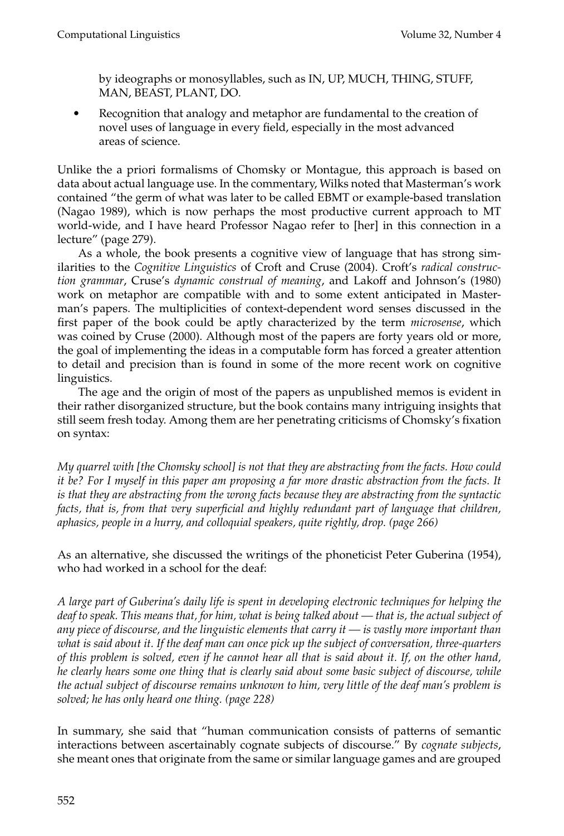by ideographs or monosyllables, such as IN, UP, MUCH, THING, STUFF, MAN, BEAST, PLANT, DO.

 Recognition that analogy and metaphor are fundamental to the creation of novel uses of language in every field, especially in the most advanced areas of science.

Unlike the a priori formalisms of Chomsky or Montague, this approach is based on data about actual language use. In the commentary, Wilks noted that Masterman's work contained "the germ of what was later to be called EBMT or example-based translation (Nagao 1989), which is now perhaps the most productive current approach to MT world-wide, and I have heard Professor Nagao refer to [her] in this connection in a lecture" (page 279).

As a whole, the book presents a cognitive view of language that has strong similarities to the *Cognitive Linguistics* of Croft and Cruse (2004). Croft's *radical construction grammar*, Cruse's *dynamic construal of meaning*, and Lakoff and Johnson's (1980) work on metaphor are compatible with and to some extent anticipated in Masterman's papers. The multiplicities of context-dependent word senses discussed in the first paper of the book could be aptly characterized by the term *microsense*, which was coined by Cruse (2000). Although most of the papers are forty years old or more, the goal of implementing the ideas in a computable form has forced a greater attention to detail and precision than is found in some of the more recent work on cognitive linguistics.

The age and the origin of most of the papers as unpublished memos is evident in their rather disorganized structure, but the book contains many intriguing insights that still seem fresh today. Among them are her penetrating criticisms of Chomsky's fixation on syntax:

*My quarrel with [the Chomsky school] is not that they are abstracting from the facts. How could it be? For I myself in this paper am proposing a far more drastic abstraction from the facts. It is that they are abstracting from the wrong facts because they are abstracting from the syntactic facts, that is, from that very superficial and highly redundant part of language that children, aphasics, people in a hurry, and colloquial speakers, quite rightly, drop. (page 266)*

As an alternative, she discussed the writings of the phoneticist Peter Guberina (1954), who had worked in a school for the deaf:

*A large part of Guberina's daily life is spent in developing electronic techniques for helping the deaf to speak. This means that, for him, what is being talked about — that is, the actual subject of any piece of discourse, and the linguistic elements that carry it — is vastly more important than what is said about it. If the deaf man can once pick up the subject of conversation, three-quarters of this problem is solved, even if he cannot hear all that is said about it. If, on the other hand, he clearly hears some one thing that is clearly said about some basic subject of discourse, while the actual subject of discourse remains unknown to him, very little of the deaf man's problem is solved; he has only heard one thing. (page 228)*

In summary, she said that "human communication consists of patterns of semantic interactions between ascertainably cognate subjects of discourse." By *cognate subjects*, she meant ones that originate from the same or similar language games and are grouped